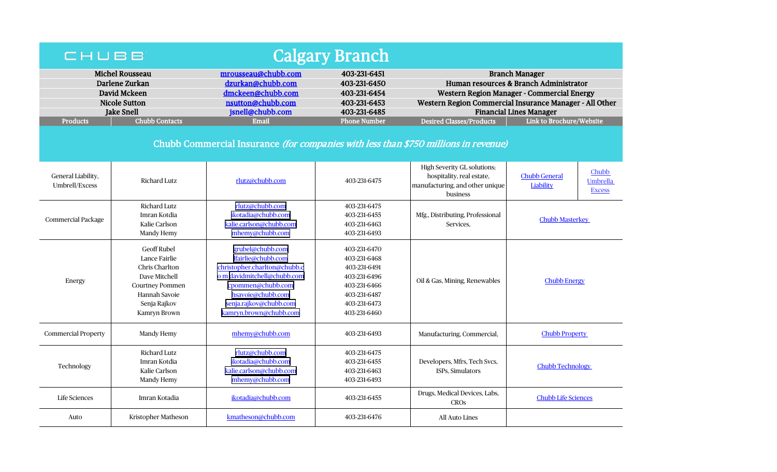| <b>Calgary Branch</b><br>CHUBB                                                                        |                                                                                                                                                   |                                                                                                                                                                                                     |                                                                                                                              |                                                                                                                                                                                                            |                                                                                |  |  |  |  |
|-------------------------------------------------------------------------------------------------------|---------------------------------------------------------------------------------------------------------------------------------------------------|-----------------------------------------------------------------------------------------------------------------------------------------------------------------------------------------------------|------------------------------------------------------------------------------------------------------------------------------|------------------------------------------------------------------------------------------------------------------------------------------------------------------------------------------------------------|--------------------------------------------------------------------------------|--|--|--|--|
| <b>Michel Rousseau</b><br>Darlene Zurkan<br>David Mckeen<br><b>Nicole Sutton</b><br><b>Jake Snell</b> |                                                                                                                                                   | mrousseau@chubb.com<br>dzurkan@chubb.com<br>dmckeen@chubb.com<br>nsutton@chubb.com<br>jsnell@chubb.com                                                                                              | 403-231-6451<br>403-231-6450<br>403-231-6454<br>403-231-6453<br>403-231-6485                                                 | <b>Branch Manager</b><br>Human resources & Branch Administrator<br>Western Region Manager - Commercial Energy<br>Western Region Commercial Insurance Manager - All Other<br><b>Financial Lines Manager</b> |                                                                                |  |  |  |  |
| <b>Products</b>                                                                                       | <b>Chubb Contacts</b>                                                                                                                             | <b>Email</b>                                                                                                                                                                                        | <b>Phone Number</b>                                                                                                          | <b>Desired Classes/Products</b>                                                                                                                                                                            | Link to Brochure/Website                                                       |  |  |  |  |
| Chubb Commercial Insurance (for companies with less than \$750 millions in revenue)                   |                                                                                                                                                   |                                                                                                                                                                                                     |                                                                                                                              |                                                                                                                                                                                                            |                                                                                |  |  |  |  |
| General Liability,<br>Umbrell/Excess                                                                  | <b>Richard Lutz</b>                                                                                                                               | rlutz@chubb.com                                                                                                                                                                                     | 403-231-6475                                                                                                                 | High Severity GL solutions;<br>hospitality, real estate,<br>manufacturing, and other unique<br>business                                                                                                    | Chubb<br><b>Chubb General</b><br><b>Umbrella</b><br>Liability<br><b>Excess</b> |  |  |  |  |
| <b>Commercial Package</b>                                                                             | <b>Richard Lutz</b><br>Imran Kotdia<br>Kalie Carlson<br>Mandy Hemy                                                                                | rlutz@chubb.com<br>ikotadia@chubb.com<br>kalie.carlson@chubb.com<br>mhemy@chubb.com                                                                                                                 | 403-231-6475<br>403-231-6455<br>403-231-6463<br>403-231-6493                                                                 | Mfg., Distributing, Professional<br>Services,                                                                                                                                                              | <b>Chubb Masterkey</b>                                                         |  |  |  |  |
| Energy                                                                                                | <b>Geoff Rubel</b><br>Lance Fairlie<br>Chris Charlton<br>Dave Mitchell<br><b>Courtney Pommen</b><br>Hannah Savoie<br>Senja Rajkov<br>Kamryn Brown | grubel@chubb.com<br>lfairlie@chubb.com<br>christopher.charlton@chubb.c<br>o m davidmitchell@chubb.com<br>cpommen@chubb.com<br>hsavoie@chubb.com<br>senja.rajkov@chubb.com<br>kamryn.brown@chubb.com | 403-231-6470<br>403-231-6468<br>403-231-6491<br>403-231-6496<br>403-231-6466<br>403-231-6487<br>403-231-6473<br>403-231-6460 | Oil & Gas, Mining, Renewables                                                                                                                                                                              | <b>Chubb Energy</b>                                                            |  |  |  |  |
| <b>Commercial Property</b>                                                                            | Mandy Hemy                                                                                                                                        | mhemy@chubb.com                                                                                                                                                                                     | 403-231-6493                                                                                                                 | Manufacturing, Commercial,                                                                                                                                                                                 | <b>Chubb Property</b>                                                          |  |  |  |  |
| Technology                                                                                            | Richard Lutz<br>Imran Kotdia<br>Kalie Carlson<br>Mandy Hemy                                                                                       | rlutz@chubb.com<br>ikotadia@chubb.com<br>kalie.carlson@chubb.com<br>mhemy@chubb.com                                                                                                                 | 403-231-6475<br>403-231-6455<br>403-231-6463<br>403-231-6493                                                                 | Developers, Mfrs, Tech Svcs,<br>ISPs, Simulators                                                                                                                                                           | <b>Chubb Technology</b>                                                        |  |  |  |  |
| <b>Life Sciences</b>                                                                                  | Imran Kotadia                                                                                                                                     | ikotadia@chubb.com                                                                                                                                                                                  | 403-231-6455                                                                                                                 | Drugs, Medical Devices, Labs,<br><b>CROS</b>                                                                                                                                                               | <b>Chubb Life Sciences</b>                                                     |  |  |  |  |
| Auto                                                                                                  | Kristopher Matheson                                                                                                                               | kmatheson@chubb.com                                                                                                                                                                                 | 403-231-6476                                                                                                                 | <b>All Auto Lines</b>                                                                                                                                                                                      |                                                                                |  |  |  |  |